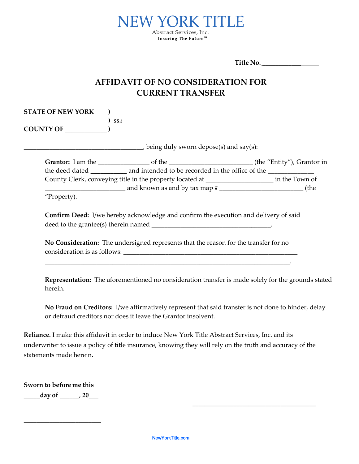

**Title No.** \_\_\_\_\_\_\_\_\_\_\_\_

## **AFFIDAVIT OF NO CONSIDERATION FOR CURRENT TRANSFER**

**STATE OF NEW YORK ) ) ss.: COUNTY OF** \_\_\_\_\_\_\_\_\_\_\_\_\_ **)**

 $\frac{1}{2}$  being duly sworn depose(s) and say(s):

| <b>Grantor:</b> I am the                                 | of the                                           | (the "Entity"), Grantor in |
|----------------------------------------------------------|--------------------------------------------------|----------------------------|
| the deed dated                                           | and intended to be recorded in the office of the |                            |
| County Clerk, conveying title in the property located at |                                                  | in the Town of             |
|                                                          | and known as and by tax map $#$                  | (the                       |
| $\mathbf{m}$ $\mathbf{m}$                                |                                                  |                            |

'Property).

**Confirm Deed:** I/we hereby acknowledge and confirm the execution and delivery of said deed to the grantee(s) therein named \_\_\_\_\_\_\_\_\_\_\_\_\_\_\_\_\_\_\_\_\_\_\_\_\_\_\_\_\_\_\_\_\_\_\_\_\_.

**No Consideration:** The undersigned represents that the reason for the transfer for no consideration is as follows: \_\_\_\_\_\_\_\_\_\_\_\_\_\_\_\_\_\_\_\_\_\_\_\_\_\_\_\_\_\_\_\_\_\_\_\_\_\_\_\_\_\_\_\_\_\_\_\_\_\_\_\_\_\_

\_\_\_\_\_\_\_\_\_\_\_\_\_\_\_\_\_\_\_\_\_\_\_\_\_\_\_\_\_\_\_\_\_\_\_\_\_\_\_\_\_\_\_\_\_\_\_\_\_\_\_\_\_\_\_\_\_\_\_\_\_\_\_\_\_\_\_\_\_\_\_\_\_\_\_\_.

**Representation:** The aforementioned no consideration transfer is made solely for the grounds stated herein.

**No Fraud on Creditors:** I/we affirmatively represent that said transfer is not done to hinder, delay or defraud creditors nor does it leave the Grantor insolvent.

\_\_\_\_\_\_\_\_\_\_\_\_\_\_\_\_\_\_\_\_\_\_\_\_\_\_\_\_\_\_\_\_\_\_\_\_\_\_

**\_\_\_\_\_\_\_\_\_\_\_\_\_\_\_\_\_\_\_\_\_\_\_\_\_\_\_\_\_\_\_\_\_\_\_\_\_\_\_\_\_\_**

**Reliance***.* I make this affidavit in order to induce New York Title Abstract Services, Inc. and its underwriter to issue a policy of title insurance, knowing they will rely on the truth and accuracy of the statements made herein.

**Sworn to before me this** 

**\_\_\_\_\_day of** \_\_\_\_\_\_, **20**\_\_\_

\_\_\_\_\_\_\_\_\_\_\_\_\_\_\_\_\_\_\_\_\_\_\_\_